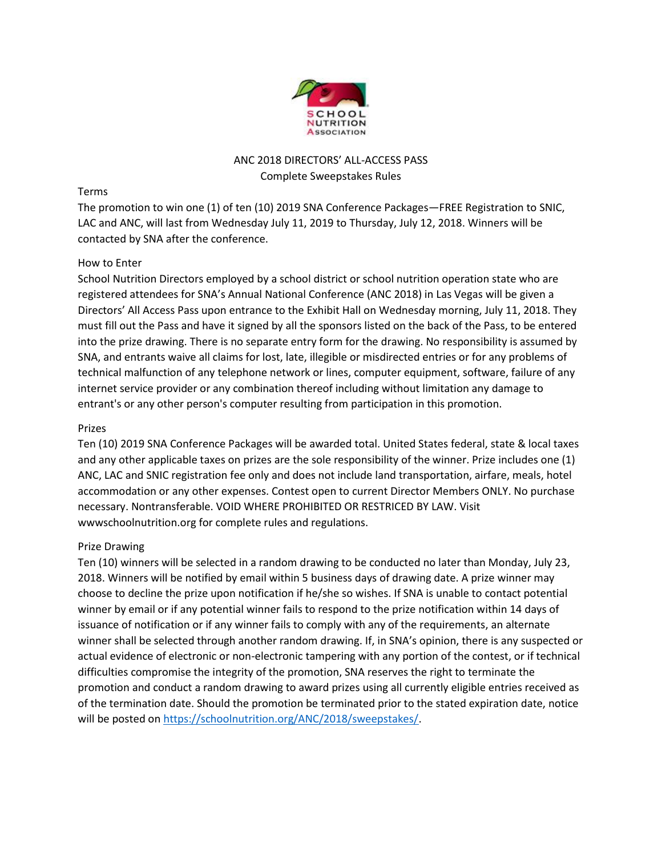

# ANC 2018 DIRECTORS' ALL-ACCESS PASS Complete Sweepstakes Rules

### Terms

The promotion to win one (1) of ten (10) 2019 SNA Conference Packages—FREE Registration to SNIC, LAC and ANC, will last from Wednesday July 11, 2019 to Thursday, July 12, 2018. Winners will be contacted by SNA after the conference.

## How to Enter

School Nutrition Directors employed by a school district or school nutrition operation state who are registered attendees for SNA's Annual National Conference (ANC 2018) in Las Vegas will be given a Directors' All Access Pass upon entrance to the Exhibit Hall on Wednesday morning, July 11, 2018. They must fill out the Pass and have it signed by all the sponsors listed on the back of the Pass, to be entered into the prize drawing. There is no separate entry form for the drawing. No responsibility is assumed by SNA, and entrants waive all claims for lost, late, illegible or misdirected entries or for any problems of technical malfunction of any telephone network or lines, computer equipment, software, failure of any internet service provider or any combination thereof including without limitation any damage to entrant's or any other person's computer resulting from participation in this promotion.

## Prizes

Ten (10) 2019 SNA Conference Packages will be awarded total. United States federal, state & local taxes and any other applicable taxes on prizes are the sole responsibility of the winner. Prize includes one (1) ANC, LAC and SNIC registration fee only and does not include land transportation, airfare, meals, hotel accommodation or any other expenses. Contest open to current Director Members ONLY. No purchase necessary. Nontransferable. VOID WHERE PROHIBITED OR RESTRICED BY LAW. Visit wwwschoolnutrition.org for complete rules and regulations.

# Prize Drawing

Ten (10) winners will be selected in a random drawing to be conducted no later than Monday, July 23, 2018. Winners will be notified by email within 5 business days of drawing date. A prize winner may choose to decline the prize upon notification if he/she so wishes. If SNA is unable to contact potential winner by email or if any potential winner fails to respond to the prize notification within 14 days of issuance of notification or if any winner fails to comply with any of the requirements, an alternate winner shall be selected through another random drawing. If, in SNA's opinion, there is any suspected or actual evidence of electronic or non-electronic tampering with any portion of the contest, or if technical difficulties compromise the integrity of the promotion, SNA reserves the right to terminate the promotion and conduct a random drawing to award prizes using all currently eligible entries received as of the termination date. Should the promotion be terminated prior to the stated expiration date, notice will be posted on https://schoolnutrition.org/ANC/2018/sweepstakes/